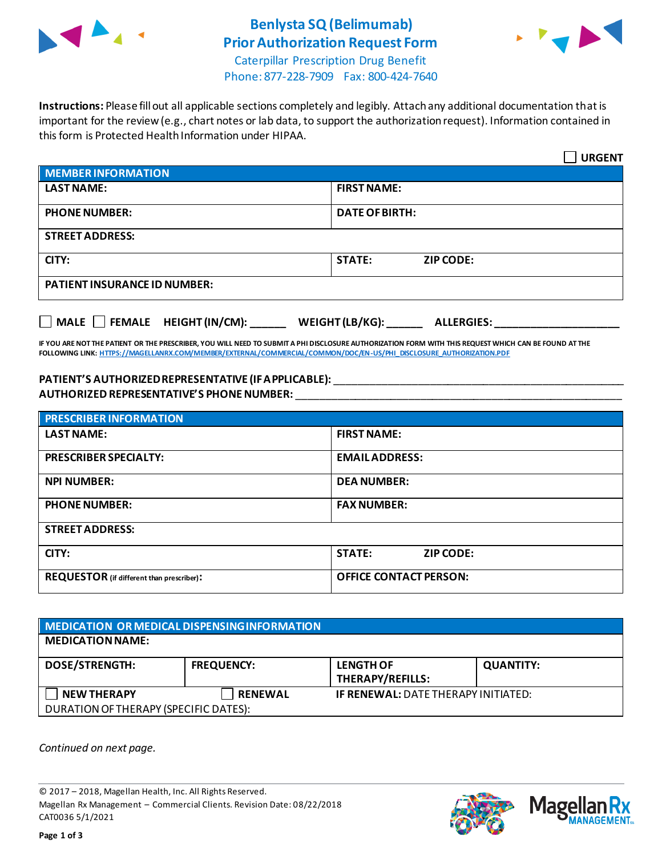

## **Benlysta SQ(Belimumab) Prior Authorization Request Form**



Caterpillar Prescription Drug Benefit Phone: 877-228-7909 Fax: 800-424-7640

**Instructions:** Please fill out all applicable sections completely and legibly. Attach any additional documentation that is important for the review (e.g., chart notes or lab data, to support the authorization request). Information contained in this form is Protected Health Information under HIPAA.

|                                                                                   | <b>URGENT</b>                     |  |  |
|-----------------------------------------------------------------------------------|-----------------------------------|--|--|
| <b>MEMBER INFORMATION</b>                                                         |                                   |  |  |
| <b>LAST NAME:</b>                                                                 | <b>FIRST NAME:</b>                |  |  |
| <b>PHONE NUMBER:</b>                                                              | <b>DATE OF BIRTH:</b>             |  |  |
| <b>STREET ADDRESS:</b>                                                            |                                   |  |  |
| CITY:                                                                             | <b>STATE:</b><br><b>ZIP CODE:</b> |  |  |
| <b>PATIENT INSURANCE ID NUMBER:</b>                                               |                                   |  |  |
| $\Box$ MALE $\Box$ FEMALE HEIGHT (IN/CM):<br>WEIGHT (LB/KG):<br><b>ALLERGIES:</b> |                                   |  |  |

**IF YOU ARE NOT THE PATIENT OR THE PRESCRIBER, YOU WILL NEED TO SUBMIT A PHI DISCLOSURE AUTHORIZATION FORM WITH THIS REQUEST WHICH CAN BE FOUND AT THE FOLLOWING LINK[: HTTPS://MAGELLANRX.COM/MEMBER/EXTERNAL/COMMERCIAL/COMMON/DOC/EN-US/PHI\\_DISCLOSURE\\_AUTHORIZATION.PDF](https://magellanrx.com/member/external/commercial/common/doc/en-us/PHI_Disclosure_Authorization.pdf)**

## **PATIENT'S AUTHORIZED REPRESENTATIVE (IF APPLICABLE):** \_\_\_\_\_\_\_\_\_\_\_\_\_\_\_\_\_\_\_\_\_\_\_\_\_\_\_\_\_\_\_\_\_\_\_\_\_\_\_\_\_\_\_\_\_\_\_\_\_ **AUTHORIZED REPRESENTATIVE'S PHONE NUMBER:** \_\_\_\_\_\_\_\_\_\_\_\_\_\_\_\_\_\_\_\_\_\_\_\_\_\_\_\_\_\_\_\_\_\_\_\_\_\_\_\_\_\_\_\_\_\_\_\_\_\_\_\_\_\_\_

| <b>PRESCRIBER INFORMATION</b>             |                               |  |  |  |
|-------------------------------------------|-------------------------------|--|--|--|
| <b>LAST NAME:</b>                         | <b>FIRST NAME:</b>            |  |  |  |
| <b>PRESCRIBER SPECIALTY:</b>              | <b>EMAIL ADDRESS:</b>         |  |  |  |
| <b>NPI NUMBER:</b>                        | <b>DEA NUMBER:</b>            |  |  |  |
| <b>PHONE NUMBER:</b>                      | <b>FAX NUMBER:</b>            |  |  |  |
| <b>STREET ADDRESS:</b>                    |                               |  |  |  |
| CITY:                                     | <b>STATE:</b><br>ZIP CODE:    |  |  |  |
| REQUESTOR (if different than prescriber): | <b>OFFICE CONTACT PERSON:</b> |  |  |  |

| MEDICATION OR MEDICAL DISPENSING INFORMATION |                   |                                             |                  |  |  |
|----------------------------------------------|-------------------|---------------------------------------------|------------------|--|--|
| <b>MEDICATION NAME:</b>                      |                   |                                             |                  |  |  |
| <b>DOSE/STRENGTH:</b>                        | <b>FREQUENCY:</b> | <b>LENGTH OF</b><br><b>THERAPY/REFILLS:</b> | <b>QUANTITY:</b> |  |  |
| <b>NEW THERAPY</b>                           | <b>RENEWAL</b>    | <b>IF RENEWAL: DATE THERAPY INITIATED:</b>  |                  |  |  |
| DURATION OF THERAPY (SPECIFIC DATES):        |                   |                                             |                  |  |  |

*Continued on next page.*

© 2017 – 2018, Magellan Health, Inc. All Rights Reserved. Magellan Rx Management – Commercial Clients. Revision Date: 08/22/2018 CAT0036 5/1/2021



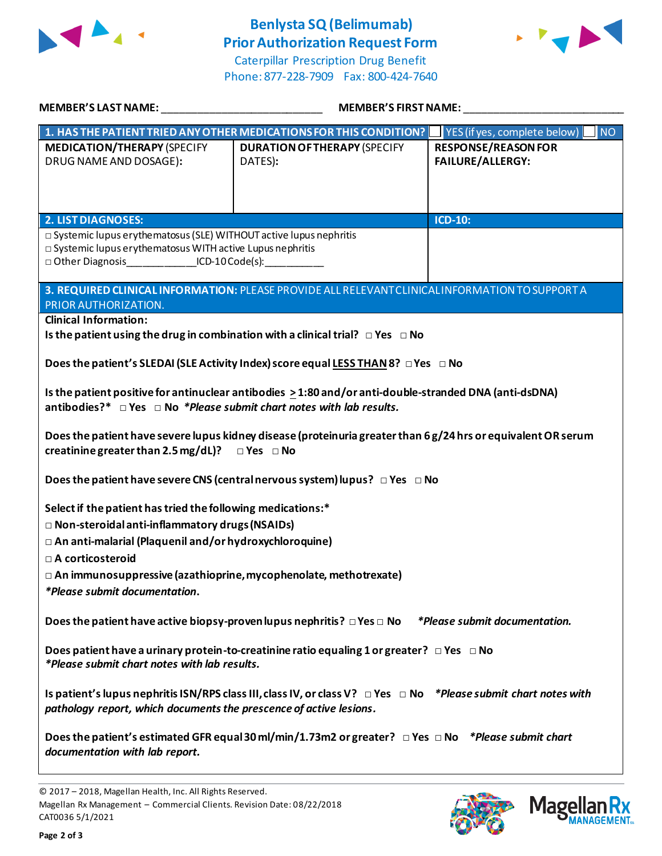

## **Benlysta SQ(Belimumab) Prior Authorization Request Form**

Caterpillar Prescription Drug Benefit Phone: 877-228-7909 Fax: 800-424-7640



| <b>MEMBER'S LAST NAME:</b>                                                                                                                                                                         | <b>MEMBER'S FIRST NAME:</b>                                                                     |                                                          |  |  |
|----------------------------------------------------------------------------------------------------------------------------------------------------------------------------------------------------|-------------------------------------------------------------------------------------------------|----------------------------------------------------------|--|--|
|                                                                                                                                                                                                    | 1. HAS THE PATIENT TRIED ANY OTHER MEDICATIONS FOR THIS CONDITION?                              | $\overline{\mathsf{NO}}$<br>YES (if yes, complete below) |  |  |
| <b>MEDICATION/THERAPY (SPECIFY</b><br>DRUG NAME AND DOSAGE):                                                                                                                                       | <b>DURATION OF THERAPY (SPECIFY</b><br>DATES):                                                  | <b>RESPONSE/REASON FOR</b><br>FAILURE/ALLERGY:           |  |  |
| <b>2. LIST DIAGNOSES:</b>                                                                                                                                                                          |                                                                                                 | ICD-10:                                                  |  |  |
| □ Systemic lupus erythematosus (SLE) WITHOUT active lupus nephritis<br>□ Systemic lupus erythematosus WITH active Lupus nephritis<br>□ Other Diagnosis _______________ICD-10 Code(s): ____________ |                                                                                                 |                                                          |  |  |
| PRIOR AUTHORIZATION.                                                                                                                                                                               | 3. REQUIRED CLINICAL INFORMATION: PLEASE PROVIDE ALL RELEVANT CLINICAL INFORMATION TO SUPPORT A |                                                          |  |  |
| <b>Clinical Information:</b>                                                                                                                                                                       | Is the patient using the drug in combination with a clinical trial? $\Box$ Yes $\Box$ No        |                                                          |  |  |
|                                                                                                                                                                                                    | Does the patient's SLEDAI (SLE Activity Index) score equal LESS THAN 8? $\Box$ Yes $\Box$ No    |                                                          |  |  |
| Is the patient positive for antinuclear antibodies > 1:80 and/or anti-double-stranded DNA (anti-dsDNA)<br>antibodies?* $\Box$ Yes $\Box$ No *Please submit chart notes with lab results.           |                                                                                                 |                                                          |  |  |
| Does the patient have severe lupus kidney disease (proteinuria greater than 6 g/24 hrs or equivalent OR serum<br>creatinine greater than 2.5 mg/dL)? $\Box$ Yes $\Box$ No                          |                                                                                                 |                                                          |  |  |
|                                                                                                                                                                                                    | Does the patient have severe CNS (central nervous system) lupus? $\Box$ Yes $\Box$ No           |                                                          |  |  |
| Select if the patient has tried the following medications:*                                                                                                                                        |                                                                                                 |                                                          |  |  |
| □ Non-steroidal anti-inflammatory drugs (NSAIDs)                                                                                                                                                   |                                                                                                 |                                                          |  |  |
| □ An anti-malarial (Plaquenil and/or hydroxychloroquine)<br>□ A corticosteroid                                                                                                                     |                                                                                                 |                                                          |  |  |
| $\Box$ An immunosuppressive (azathioprine, mycophenolate, methotrexate)                                                                                                                            |                                                                                                 |                                                          |  |  |
| *Please submit documentation.                                                                                                                                                                      |                                                                                                 |                                                          |  |  |
| Does the patient have active biopsy-proven lupus nephritis? $\Box$ Yes $\Box$ No<br>*Please submit documentation.                                                                                  |                                                                                                 |                                                          |  |  |
| Does patient have a urinary protein-to-creatinine ratio equaling 1 or greater? $\Box$ Yes $\Box$ No<br>*Please submit chart notes with lab results.                                                |                                                                                                 |                                                          |  |  |
| Is patient's lupus nephritis ISN/RPS class III, class IV, or class V? $\Box$ Yes $\Box$ No *Please submit chart notes with<br>pathology report, which documents the prescence of active lesions.   |                                                                                                 |                                                          |  |  |
| Does the patient's estimated GFR equal 30 ml/min/1.73m2 or greater? $\Box$ Yes $\Box$ No *Please submit chart<br>documentation with lab report.                                                    |                                                                                                 |                                                          |  |  |





<sup>© 2017</sup> – 2018, Magellan Health, Inc. All Rights Reserved. Magellan Rx Management – Commercial Clients. Revision Date: 08/22/2018 CAT0036 5/1/2021